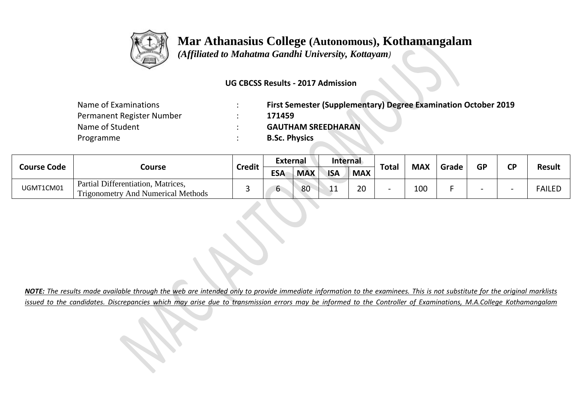

## **Mar Athanasius College (Autonomous), Kothamangalam**

 *(Affiliated to Mahatma Gandhi University, Kottayam)*

## **UG CBCSS Results - 2017 Admission**

| Name of Examinations      | First Semester (Supplementary) Degree Examination October 2019 |
|---------------------------|----------------------------------------------------------------|
| Permanent Register Number | 171459                                                         |
| Name of Student           | <b>GAUTHAM SREEDHARAN</b>                                      |
| Programme                 | <b>B.Sc. Physics</b>                                           |

| <b>Course Code</b> | Course                                                                          | <b>Credit</b> | <b>External</b> |            | Internal       |            |              |            |       |           | ΓD |               |
|--------------------|---------------------------------------------------------------------------------|---------------|-----------------|------------|----------------|------------|--------------|------------|-------|-----------|----|---------------|
|                    |                                                                                 |               | <b>ESA</b>      | <b>MAX</b> | <b>ISA</b>     | <b>MAX</b> | <b>Total</b> | <b>MAX</b> | Grade | <b>GP</b> |    | <b>Result</b> |
| UGMT1CM01          | Partial Differentiation, Matrices,<br><b>Trigonometry And Numerical Methods</b> |               |                 | 80         | $\overline{a}$ | 20         |              | 100        |       |           |    | <b>FAILED</b> |

*NOTE: The results made available through the web are intended only to provide immediate information to the examinees. This is not substitute for the original marklists issued to the candidates. Discrepancies which may arise due to transmission errors may be informed to the Controller of Examinations, M.A.College Kothamangalam*